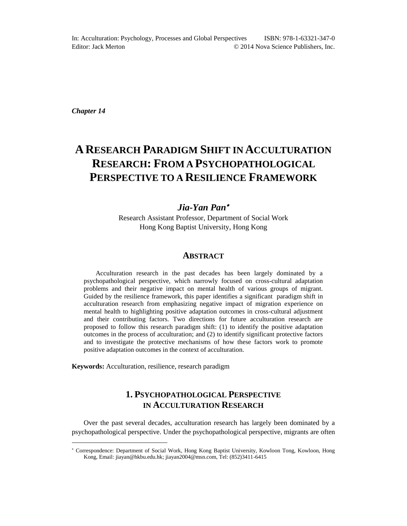*Chapter 14*

l

# **A RESEARCH PARADIGM SHIFT IN ACCULTURATION RESEARCH: FROM A PSYCHOPATHOLOGICAL PERSPECTIVE TO A RESILIENCE FRAMEWORK**

# *Jia-Yan Pan*

Research Assistant Professor, Department of Social Work Hong Kong Baptist University, Hong Kong

# **ABSTRACT**

Acculturation research in the past decades has been largely dominated by a psychopathological perspective, which narrowly focused on cross-cultural adaptation problems and their negative impact on mental health of various groups of migrant. Guided by the resilience framework, this paper identifies a significant paradigm shift in acculturation research from emphasizing negative impact of migration experience on mental health to highlighting positive adaptation outcomes in cross-cultural adjustment and their contributing factors. Two directions for future acculturation research are proposed to follow this research paradigm shift: (1) to identify the positive adaptation outcomes in the process of acculturation; and (2) to identify significant protective factors and to investigate the protective mechanisms of how these factors work to promote positive adaptation outcomes in the context of acculturation.

**Keywords:** Acculturation, resilience, research paradigm

# **1. PSYCHOPATHOLOGICAL PERSPECTIVE IN ACCULTURATION RESEARCH**

Over the past several decades, acculturation research has largely been dominated by a psychopathological perspective. Under the psychopathological perspective, migrants are often

Correspondence: Department of Social Work, Hong Kong Baptist University, Kowloon Tong, Kowloon, Hong Kong, Email: jiayan@hkbu.edu.hk; jiayan2004@msn.com, Tel: (852)3411-6415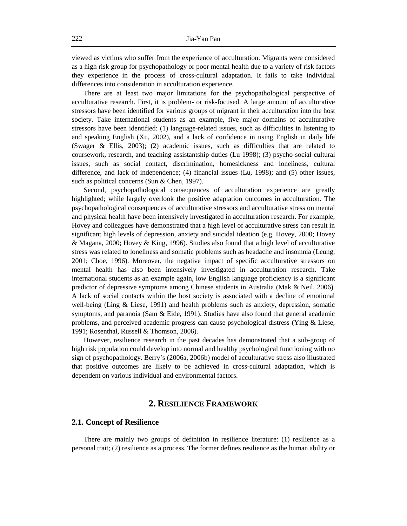viewed as victims who suffer from the experience of acculturation. Migrants were considered as a high risk group for psychopathology or poor mental health due to a variety of risk factors they experience in the process of cross-cultural adaptation. It fails to take individual differences into consideration in acculturation experience.

There are at least two major limitations for the psychopathological perspective of acculturative research. First, it is problem- or risk-focused. A large amount of acculturative stressors have been identified for various groups of migrant in their acculturation into the host society. Take international students as an example, five major domains of acculturative stressors have been identified: (1) language-related issues, such as difficulties in listening to and speaking English (Xu, 2002), and a lack of confidence in using English in daily life (Swager & Ellis, 2003); (2) academic issues, such as difficulties that are related to coursework, research, and teaching assistantship duties (Lu 1998); (3) psycho-social-cultural issues, such as social contact, discrimination, homesickness and loneliness, cultural difference, and lack of independence; (4) financial issues (Lu, 1998); and (5) other issues, such as political concerns (Sun & Chen, 1997).

Second, psychopathological consequences of acculturation experience are greatly highlighted; while largely overlook the positive adaptation outcomes in acculturation. The psychopathological consequences of acculturative stressors and acculturative stress on mental and physical health have been intensively investigated in acculturation research. For example, Hovey and colleagues have demonstrated that a high level of acculturative stress can result in significant high levels of depression, anxiety and suicidal ideation (e.g. Hovey, 2000; Hovey & Magana, 2000; Hovey & King, 1996). Studies also found that a high level of acculturative stress was related to loneliness and somatic problems such as headache and insomnia (Leung, 2001; Choe, 1996). Moreover, the negative impact of specific acculturative stressors on mental health has also been intensively investigated in acculturation research. Take international students as an example again, low English language proficiency is a significant predictor of depressive symptoms among Chinese students in Australia (Mak & Neil, 2006). A lack of social contacts within the host society is associated with a decline of emotional well-being (Ling & Liese, 1991) and health problems such as anxiety, depression, somatic symptoms, and paranoia (Sam & Eide, 1991). Studies have also found that general academic problems, and perceived academic progress can cause psychological distress (Ying & Liese, 1991; Rosenthal, Russell & Thomson, 2006).

However, resilience research in the past decades has demonstrated that a sub-group of high risk population could develop into normal and healthy psychological functioning with no sign of psychopathology. Berry's (2006a, 2006b) model of acculturative stress also illustrated that positive outcomes are likely to be achieved in cross-cultural adaptation, which is dependent on various individual and environmental factors.

# **2. RESILIENCE FRAMEWORK**

#### **2.1. Concept of Resilience**

There are mainly two groups of definition in resilience literature: (1) resilience as a personal trait; (2) resilience as a process. The former defines resilience as the human ability or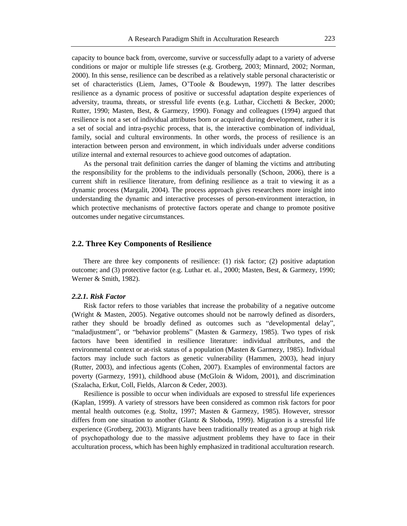capacity to bounce back from, overcome, survive or successfully adapt to a variety of adverse conditions or major or multiple life stresses (e.g. Grotberg, 2003; Minnard, 2002; Norman, 2000). In this sense, resilience can be described as a relatively stable personal characteristic or set of characteristics (Liem, James, O'Toole & Boudewyn, 1997). The latter describes resilience as a dynamic process of positive or successful adaptation despite experiences of adversity, trauma, threats, or stressful life events (e.g. Luthar, Cicchetti & Becker, 2000; Rutter, 1990; Masten, Best, & Garmezy, 1990). Fonagy and colleagues (1994) argued that resilience is not a set of individual attributes born or acquired during development, rather it is a set of social and intra-psychic process, that is, the interactive combination of individual, family, social and cultural environments. In other words, the process of resilience is an interaction between person and environment, in which individuals under adverse conditions utilize internal and external resources to achieve good outcomes of adaptation.

As the personal trait definition carries the danger of blaming the victims and attributing the responsibility for the problems to the individuals personally (Schoon, 2006), there is a current shift in resilience literature, from defining resilience as a trait to viewing it as a dynamic process (Margalit, 2004). The process approach gives researchers more insight into understanding the dynamic and interactive processes of person-environment interaction, in which protective mechanisms of protective factors operate and change to promote positive outcomes under negative circumstances.

### **2.2. Three Key Components of Resilience**

There are three key components of resilience: (1) risk factor; (2) positive adaptation outcome; and (3) protective factor (e.g. Luthar et. al., 2000; Masten, Best, & Garmezy, 1990; Werner & Smith, 1982).

#### *2.2.1. Risk Factor*

Risk factor refers to those variables that increase the probability of a negative outcome (Wright & Masten, 2005). Negative outcomes should not be narrowly defined as disorders, rather they should be broadly defined as outcomes such as "developmental delay", "maladjustment", or "behavior problems" (Masten & Garmezy, 1985). Two types of risk factors have been identified in resilience literature: individual attributes, and the environmental context or at-risk status of a population (Masten & Garmezy, 1985). Individual factors may include such factors as genetic vulnerability (Hammen, 2003), head injury (Rutter, 2003), and infectious agents (Cohen, 2007). Examples of environmental factors are poverty (Garmezy, 1991), childhood abuse (McGloin & Widom, 2001), and discrimination (Szalacha, Erkut, Coll, Fields, Alarcon & Ceder, 2003).

Resilience is possible to occur when individuals are exposed to stressful life experiences (Kaplan, 1999). A variety of stressors have been considered as common risk factors for poor mental health outcomes (e.g. Stoltz, 1997; Masten & Garmezy, 1985). However, stressor differs from one situation to another (Glantz & Sloboda, 1999). Migration is a stressful life experience (Grotberg, 2003). Migrants have been traditionally treated as a group at high risk of psychopathology due to the massive adjustment problems they have to face in their acculturation process, which has been highly emphasized in traditional acculturation research.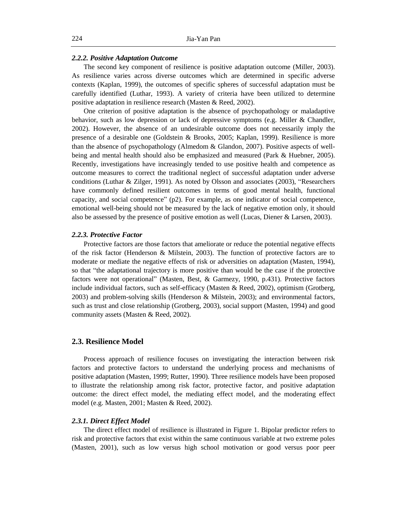#### *2.2.2. Positive Adaptation Outcome*

The second key component of resilience is positive adaptation outcome (Miller, 2003). As resilience varies across diverse outcomes which are determined in specific adverse contexts (Kaplan, 1999), the outcomes of specific spheres of successful adaptation must be carefully identified (Luthar, 1993). A variety of criteria have been utilized to determine positive adaptation in resilience research (Masten & Reed, 2002).

One criterion of positive adaptation is the absence of psychopathology or maladaptive behavior, such as low depression or lack of depressive symptoms (e.g. Miller & Chandler, 2002). However, the absence of an undesirable outcome does not necessarily imply the presence of a desirable one (Goldstein & Brooks, 2005; Kaplan, 1999). Resilience is more than the absence of psychopathology (Almedom & Glandon, 2007). Positive aspects of wellbeing and mental health should also be emphasized and measured (Park & Huebner, 2005). Recently, investigations have increasingly tended to use positive health and competence as outcome measures to correct the traditional neglect of successful adaptation under adverse conditions (Luthar & Zilger, 1991). As noted by Olsson and associates (2003), "Researchers have commonly defined resilient outcomes in terms of good mental health, functional capacity, and social competence"  $(p2)$ . For example, as one indicator of social competence, emotional well-being should not be measured by the lack of negative emotion only, it should also be assessed by the presence of positive emotion as well (Lucas, Diener & Larsen, 2003).

#### *2.2.3. Protective Factor*

Protective factors are those factors that ameliorate or reduce the potential negative effects of the risk factor (Henderson & Milstein, 2003). The function of protective factors are to moderate or mediate the negative effects of risk or adversities on adaptation (Masten, 1994), so that "the adaptational trajectory is more positive than would be the case if the protective factors were not operational" (Masten, Best, & Garmezy, 1990, p.431). Protective factors include individual factors, such as self-efficacy (Masten & Reed, 2002), optimism (Grotberg, 2003) and problem-solving skills (Henderson & Milstein, 2003); and environmental factors, such as trust and close relationship (Grotberg, 2003), social support (Masten, 1994) and good community assets (Masten & Reed, 2002).

#### **2.3. Resilience Model**

Process approach of resilience focuses on investigating the interaction between risk factors and protective factors to understand the underlying process and mechanisms of positive adaptation (Masten, 1999; Rutter, 1990). Three resilience models have been proposed to illustrate the relationship among risk factor, protective factor, and positive adaptation outcome: the direct effect model, the mediating effect model, and the moderating effect model (e.g. Masten, 2001; Masten & Reed, 2002).

#### *2.3.1. Direct Effect Model*

The direct effect model of resilience is illustrated in Figure 1. Bipolar predictor refers to risk and protective factors that exist within the same continuous variable at two extreme poles (Masten, 2001), such as low versus high school motivation or good versus poor peer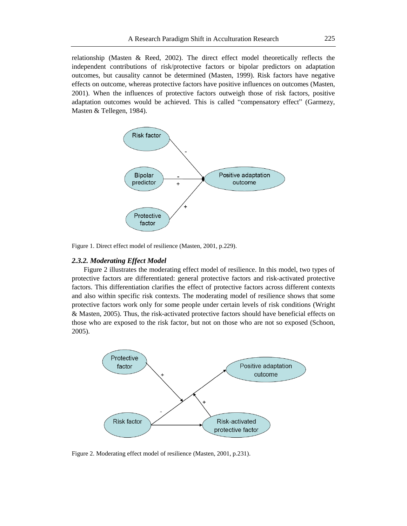relationship (Masten & Reed, 2002). The direct effect model theoretically reflects the independent contributions of risk/protective factors or bipolar predictors on adaptation outcomes, but causality cannot be determined (Masten, 1999). Risk factors have negative effects on outcome, whereas protective factors have positive influences on outcomes (Masten, 2001). When the influences of protective factors outweigh those of risk factors, positive adaptation outcomes would be achieved. This is called "compensatory effect" (Garmezy, Masten & Tellegen, 1984).



Figure 1. Direct effect model of resilience (Masten, 2001, p.229).

#### *2.3.2. Moderating Effect Model*

Figure 2 illustrates the moderating effect model of resilience. In this model, two types of protective factors are differentiated: general protective factors and risk-activated protective factors. This differentiation clarifies the effect of protective factors across different contexts and also within specific risk contexts. The moderating model of resilience shows that some protective factors work only for some people under certain levels of risk conditions (Wright & Masten, 2005). Thus, the risk-activated protective factors should have beneficial effects on those who are exposed to the risk factor, but not on those who are not so exposed (Schoon, 2005).



Figure 2. Moderating effect model of resilience (Masten, 2001, p.231).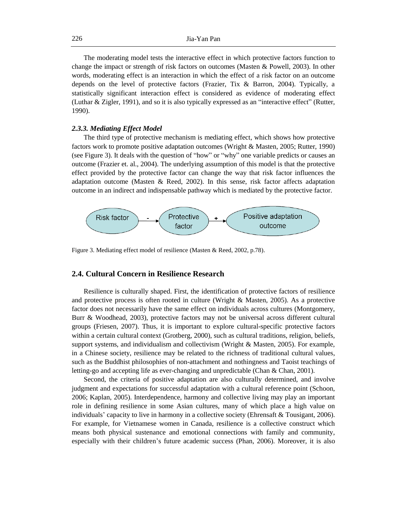The moderating model tests the interactive effect in which protective factors function to change the impact or strength of risk factors on outcomes (Masten & Powell, 2003). In other words, moderating effect is an interaction in which the effect of a risk factor on an outcome depends on the level of protective factors (Frazier, Tix & Barron, 2004). Typically, a statistically significant interaction effect is considered as evidence of moderating effect (Luthar & Zigler, 1991), and so it is also typically expressed as an "interactive effect" (Rutter, 1990).

## *2.3.3. Mediating Effect Model*

The third type of protective mechanism is mediating effect, which shows how protective factors work to promote positive adaptation outcomes (Wright & Masten, 2005; Rutter, 1990) (see Figure 3). It deals with the question of "how" or "why" one variable predicts or causes an outcome (Frazier et. al., 2004). The underlying assumption of this model is that the protective effect provided by the protective factor can change the way that risk factor influences the adaptation outcome (Masten & Reed, 2002). In this sense, risk factor affects adaptation outcome in an indirect and indispensable pathway which is mediated by the protective factor.



Figure 3. Mediating effect model of resilience (Masten & Reed, 2002, p.78).

## **2.4. Cultural Concern in Resilience Research**

Resilience is culturally shaped. First, the identification of protective factors of resilience and protective process is often rooted in culture (Wright & Masten, 2005). As a protective factor does not necessarily have the same effect on individuals across cultures (Montgomery, Burr & Woodhead, 2003), protective factors may not be universal across different cultural groups (Friesen, 2007). Thus, it is important to explore cultural-specific protective factors within a certain cultural context (Grotberg, 2000), such as cultural traditions, religion, beliefs, support systems, and individualism and collectivism (Wright & Masten, 2005). For example, in a Chinese society, resilience may be related to the richness of traditional cultural values, such as the Buddhist philosophies of non-attachment and nothingness and Taoist teachings of letting-go and accepting life as ever-changing and unpredictable (Chan & Chan, 2001).

Second, the criteria of positive adaptation are also culturally determined, and involve judgment and expectations for successful adaptation with a cultural reference point (Schoon, 2006; Kaplan, 2005). Interdependence, harmony and collective living may play an important role in defining resilience in some Asian cultures, many of which place a high value on individuals' capacity to live in harmony in a collective society (Ehrensaft & Tousigant, 2006). For example, for Vietnamese women in Canada, resilience is a collective construct which means both physical sustenance and emotional connections with family and community, especially with their children's future academic success (Phan, 2006). Moreover, it is also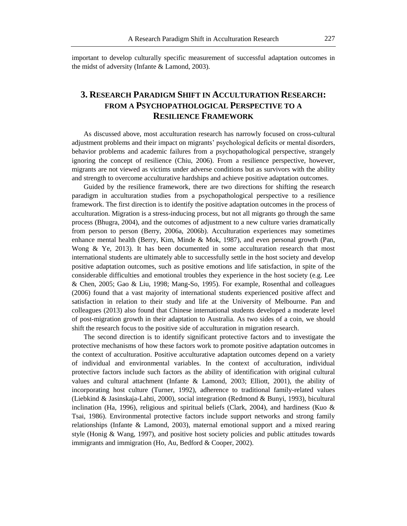important to develop culturally specific measurement of successful adaptation outcomes in the midst of adversity (Infante & Lamond, 2003).

# **3. RESEARCH PARADIGM SHIFT IN ACCULTURATION RESEARCH: FROM A PSYCHOPATHOLOGICAL PERSPECTIVE TO A RESILIENCE FRAMEWORK**

As discussed above, most acculturation research has narrowly focused on cross-cultural adjustment problems and their impact on migrants' psychological deficits or mental disorders, behavior problems and academic failures from a psychopathological perspective, strangely ignoring the concept of resilience (Chiu, 2006). From a resilience perspective, however, migrants are not viewed as victims under adverse conditions but as survivors with the ability and strength to overcome acculturative hardships and achieve positive adaptation outcomes.

Guided by the resilience framework, there are two directions for shifting the research paradigm in acculturation studies from a psychopathological perspective to a resilience framework. The first direction is to identify the positive adaptation outcomes in the process of acculturation. Migration is a stress-inducing process, but not all migrants go through the same process (Bhugra, 2004), and the outcomes of adjustment to a new culture varies dramatically from person to person (Berry, 2006a, 2006b). Acculturation experiences may sometimes enhance mental health (Berry, Kim, Minde & Mok, 1987), and even personal growth (Pan, Wong & Ye, 2013). It has been documented in some acculturation research that most international students are ultimately able to successfully settle in the host society and develop positive adaptation outcomes, such as positive emotions and life satisfaction, in spite of the considerable difficulties and emotional troubles they experience in the host society (e.g. Lee & Chen, 2005; Gao & Liu, 1998; Mang-So, 1995). For example, Rosenthal and colleagues (2006) found that a vast majority of international students experienced positive affect and satisfaction in relation to their study and life at the University of Melbourne. Pan and colleagues (2013) also found that Chinese international students developed a moderate level of post-migration growth in their adaptation to Australia. As two sides of a coin, we should shift the research focus to the positive side of acculturation in migration research.

The second direction is to identify significant protective factors and to investigate the protective mechanisms of how these factors work to promote positive adaptation outcomes in the context of acculturation. Positive acculturative adaptation outcomes depend on a variety of individual and environmental variables. In the context of acculturation, individual protective factors include such factors as the ability of identification with original cultural values and cultural attachment (Infante & Lamond, 2003; Elliott, 2001), the ability of incorporating host culture (Turner, 1992), adherence to traditional family-related values (Liebkind & Jasinskaja-Lahti, 2000), social integration (Redmond & Bunyi, 1993), bicultural inclination (Ha, 1996), religious and spiritual beliefs (Clark, 2004), and hardiness (Kuo  $\&$ Tsai, 1986). Environmental protective factors include support networks and strong family relationships (Infante & Lamond, 2003), maternal emotional support and a mixed rearing style (Honig & Wang, 1997), and positive host society policies and public attitudes towards immigrants and immigration (Ho, Au, Bedford & Cooper, 2002).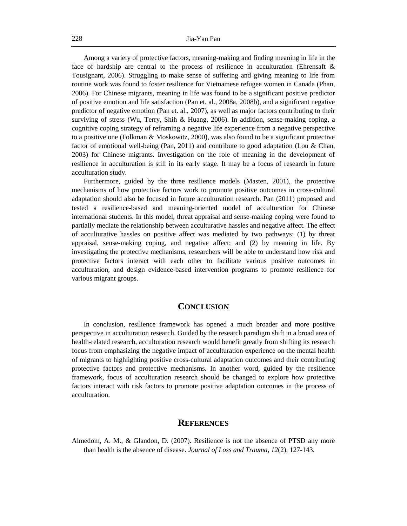Among a variety of protective factors, meaning-making and finding meaning in life in the face of hardship are central to the process of resilience in acculturation (Ehrensaft & Tousignant, 2006). Struggling to make sense of suffering and giving meaning to life from routine work was found to foster resilience for Vietnamese refugee women in Canada (Phan, 2006). For Chinese migrants, meaning in life was found to be a significant positive predictor of positive emotion and life satisfaction (Pan et. al., 2008a, 2008b), and a significant negative predictor of negative emotion (Pan et. al., 2007), as well as major factors contributing to their surviving of stress (Wu, Terry, Shih & Huang, 2006). In addition, sense-making coping, a cognitive coping strategy of reframing a negative life experience from a negative perspective to a positive one (Folkman & Moskowitz, 2000), was also found to be a significant protective factor of emotional well-being (Pan, 2011) and contribute to good adaptation (Lou & Chan, 2003) for Chinese migrants. Investigation on the role of meaning in the development of resilience in acculturation is still in its early stage. It may be a focus of research in future acculturation study.

Furthermore, guided by the three resilience models (Masten, 2001), the protective mechanisms of how protective factors work to promote positive outcomes in cross-cultural adaptation should also be focused in future acculturation research. Pan (2011) proposed and tested a resilience-based and meaning-oriented model of acculturation for Chinese international students. In this model, threat appraisal and sense-making coping were found to partially mediate the relationship between acculturative hassles and negative affect. The effect of acculturative hassles on positive affect was mediated by two pathways: (1) by threat appraisal, sense-making coping, and negative affect; and (2) by meaning in life. By investigating the protective mechanisms, researchers will be able to understand how risk and protective factors interact with each other to facilitate various positive outcomes in acculturation, and design evidence-based intervention programs to promote resilience for various migrant groups.

## **CONCLUSION**

In conclusion, resilience framework has opened a much broader and more positive perspective in acculturation research. Guided by the research paradigm shift in a broad area of health-related research, acculturation research would benefit greatly from shifting its research focus from emphasizing the negative impact of acculturation experience on the mental health of migrants to highlighting positive cross-cultural adaptation outcomes and their contributing protective factors and protective mechanisms. In another word, guided by the resilience framework, focus of acculturation research should be changed to explore how protective factors interact with risk factors to promote positive adaptation outcomes in the process of acculturation.

### **REFERENCES**

Almedom, A. M., & Glandon, D. (2007). Resilience is not the absence of PTSD any more than health is the absence of disease. *Journal of Loss and Trauma, 12*(2), 127-143.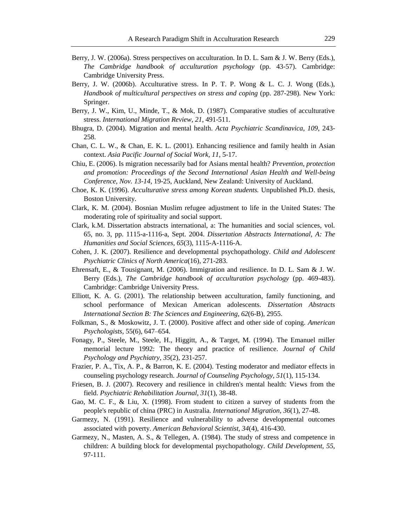- Berry, J. W. (2006a). Stress perspectives on acculturation. In D. L. Sam & J. W. Berry (Eds.), *The Cambridge handbook of acculturation psychology* (pp. 43-57). Cambridge: Cambridge University Press.
- Berry, J. W. (2006b). Acculturative stress. In P. T. P. Wong & L. C. J. Wong (Eds.), *Handbook of multicultural perspectives on stress and coping (pp. 287-298). New York:* Springer.
- Berry, J. W., Kim, U., Minde, T., & Mok, D. (1987). Comparative studies of acculturative stress. *International Migration Review, 21*, 491-511.
- Bhugra, D. (2004). Migration and mental health. *Acta Psychiatric Scandinavica, 109*, 243- 258.
- Chan, C. L. W., & Chan, E. K. L. (2001). Enhancing resilience and family health in Asian context. *Asia Pacific Journal of Social Work, 11*, 5-17.
- Chiu, E. (2006). Is migration necessarily bad for Asians mental health? *Prevention, protection and promotion: Proceedings of the Second International Asian Health and Well-being Conference, Nov. 13-14*, 19-25, Auckland, New Zealand: University of Auckland.
- Choe, K. K. (1996). *Acculturative stress among Korean students.* Unpublished Ph.D. thesis, Boston University.
- Clark, K. M. (2004). Bosnian Muslim refugee adjustment to life in the United States: The moderating role of spirituality and social support.
- Clark, k.M. Dissertation abstracts international, a: The humanities and social sciences, vol. 65, no. 3, pp. 1115-a-1116-a, Sept. 2004. *Dissertation Abstracts International, A: The Humanities and Social Sciences, 65*(3), 1115-A-1116-A.
- Cohen, J. K. (2007). Resilience and developmental psychopathology. *Child and Adolescent Psychiatric Clinics of North America*(16), 271-283.
- Ehrensaft, E., & Tousignant, M. (2006). Immigration and resilience. In D. L. Sam & J. W. Berry (Eds.), *The Cambridge handbook of acculturation psychology* (pp. 469-483). Cambridge: Cambridge University Press.
- Elliott, K. A. G. (2001). The relationship between acculturation, family functioning, and school performance of Mexican American adolescents. *Dissertation Abstracts International Section B: The Sciences and Engineering, 62*(6-B), 2955.
- Folkman, S., & Moskowitz, J. T. (2000). Positive affect and other side of coping. *American Psychologists,* 55(6), 647–654.
- Fonagy, P., Steele, M., Steele, H., Higgitt, A., & Target, M. (1994). The Emanuel miller memorial lecture 1992: The theory and practice of resilience. *Journal of Child Psychology and Psychiatry, 35*(2), 231-257.
- Frazier, P. A., Tix, A. P., & Barron, K. E. (2004). Testing moderator and mediator effects in counseling psychology research. *Journal of Counseling Psychology, 51*(1), 115-134.
- Friesen, B. J. (2007). Recovery and resilience in children's mental health: Views from the field. *Psychiatric Rehabilitation Journal, 31*(1), 38-48.
- Gao, M. C. F., & Liu, X. (1998). From student to citizen a survey of students from the people's republic of china (PRC) in Australia. *International Migration, 36*(1), 27-48.
- Garmezy, N. (1991). Resilience and vulnerability to adverse developmental outcomes associated with poverty. *American Behavioral Scientist, 34*(4), 416-430.
- Garmezy, N., Masten, A. S., & Tellegen, A. (1984). The study of stress and competence in children: A building block for developmental psychopathology. *Child Development, 55*, 97-111.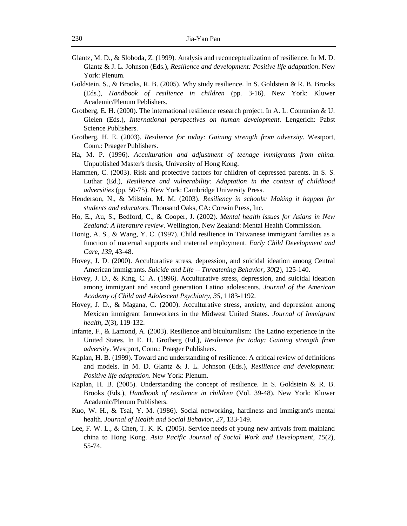- Glantz, M. D., & Sloboda, Z. (1999). Analysis and reconceptualization of resilience. In M. D. Glantz & J. L. Johnson (Eds.), *Resilience and development: Positive life adaptation*. New York: Plenum.
- Goldstein, S., & Brooks, R. B. (2005). Why study resilience. In S. Goldstein & R. B. Brooks (Eds.), *Handbook of resilience in children* (pp. 3-16). New York: Kluwer Academic/Plenum Peblishers.
- Grotberg, E. H. (2000). The international resilience research project. In A. L. Comunian & U. Gielen (Eds.), *International perspectives on human development*. Lengerich: Pabst Science Publishers.
- Grotberg, H. E. (2003). *Resilience for today: Gaining strength from adversity*. Westport, Conn.: Praeger Publishers.
- Ha, M. P. (1996). *Acculturation and adjustment of teenage immigrants from china.* Unpublished Master's thesis, University of Hong Kong.
- Hammen, C. (2003). Risk and protective factors for children of depressed parents. In S. S. Luthar (Ed.), *Resilience and vulnerability: Adaptation in the context of childhood adversities* (pp. 50-75). New York: Cambridge University Press.
- Henderson, N., & Milstein, M. M. (2003). *Resiliency in schools: Making it happen for students and educators*. Thousand Oaks, CA: Corwin Press, Inc.
- Ho, E., Au, S., Bedford, C., & Cooper, J. (2002). *Mental health issues for Asians in New Zealand: A literature review*. Wellington, New Zealand: Mental Health Commission.
- Honig, A. S., & Wang, Y. C. (1997). Child resilience in Taiwanese immigrant families as a function of maternal supports and maternal employment. *Early Child Development and Care, 139*, 43-48.
- Hovey, J. D. (2000). Acculturative stress, depression, and suicidal ideation among Central American immigrants. *Suicide and Life -- Threatening Behavior, 30*(2), 125-140.
- Hovey, J. D., & King, C. A. (1996). Acculturative stress, depression, and suicidal ideation among immigrant and second generation Latino adolescents. *Journal of the American Academy of Child and Adolescent Psychiatry, 35*, 1183-1192.
- Hovey, J. D., & Magana, C. (2000). Acculturative stress, anxiety, and depression among Mexican immigrant farmworkers in the Midwest United States. *Journal of Immigrant health, 2*(3), 119-132.
- Infante, F., & Lamond, A. (2003). Resilience and biculturalism: The Latino experience in the United States. In E. H. Grotberg (Ed.), *Resilience for today: Gaining strength from adversity*. Westport, Conn.: Praeger Publishers.
- Kaplan, H. B. (1999). Toward and understanding of resilience: A critical review of definitions and models. In M. D. Glantz & J. L. Johnson (Eds.), *Resilience and development: Positive life adaptation*. New York: Plenum.
- Kaplan, H. B. (2005). Understanding the concept of resilience. In S. Goldstein & R. B. Brooks (Eds.), *Handbook of resilience in children* (Vol. 39-48). New York: Kluwer Academic/Plenum Publishers.
- Kuo, W. H., & Tsai, Y. M. (1986). Social networking, hardiness and immigrant's mental health. *Journal of Health and Social Behavior, 27*, 133-149.
- Lee, F. W. L., & Chen, T. K. K. (2005). Service needs of young new arrivals from mainland china to Hong Kong. *Asia Pacific Journal of Social Work and Development, 15*(2), 55-74.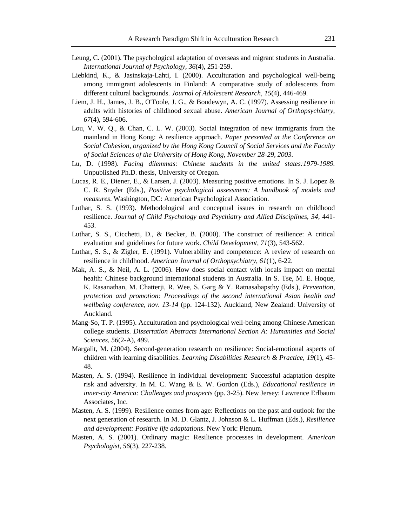- Leung, C. (2001). The psychological adaptation of overseas and migrant students in Australia. *International Journal of Psychology, 36*(4), 251-259.
- Liebkind, K., & Jasinskaja-Lahti, I. (2000). Acculturation and psychological well-being among immigrant adolescents in Finland: A comparative study of adolescents from different cultural backgrounds. *Journal of Adolescent Research, 15*(4), 446-469.
- Liem, J. H., James, J. B., O'Toole, J. G., & Boudewyn, A. C. (1997). Assessing resilience in adults with histories of childhood sexual abuse. *American Journal of Orthopsychiatry, 67*(4), 594-606.
- Lou, V. W. Q., & Chan, C. L. W. (2003). Social integration of new immigrants from the mainland in Hong Kong: A resilience approach. *Paper presented at the Conference on Social Cohesion, organized by the Hong Kong Council of Social Services and the Faculty of Social Sciences of the University of Hong Kong, November 28-29, 2003.*
- Lu, D. (1998). *Facing dilemmas: Chinese students in the united states:1979-1989.* Unpublished Ph.D. thesis, University of Oregon.
- Lucas, R. E., Diener, E., & Larsen, J. (2003). Measuring positive emotions. In S. J. Lopez & C. R. Snyder (Eds.), *Positive psychological assessment: A handbook of models and measures*. Washington, DC: American Psychological Association.
- Luthar, S. S. (1993). Methodological and conceptual issues in research on childhood resilience. *Journal of Child Psychology and Psychiatry and Allied Disciplines, 34*, 441- 453.
- Luthar, S. S., Cicchetti, D., & Becker, B. (2000). The construct of resilience: A critical evaluation and guidelines for future work. *Child Development, 71*(3), 543-562.
- Luthar, S. S., & Zigler, E. (1991). Vulnerability and competence: A review of research on resilience in childhood. *American Journal of Orthopsychiatry, 61*(1), 6-22.
- Mak, A. S., & Neil, A. L. (2006). How does social contact with locals impact on mental health: Chinese background international students in Australia. In S. Tse, M. E. Hoque, K. Rasanathan, M. Chatterji, R. Wee, S. Garg & Y. Ratnasabapsthy (Eds.), *Prevention, protection and promotion: Proceedings of the second international Asian health and wellbeing conference, nov. 13-14* (pp. 124-132). Auckland, New Zealand: University of Auckland.
- Mang-So, T. P. (1995). Acculturation and psychological well-being among Chinese American college students. *Dissertation Abstracts International Section A: Humanities and Social Sciences, 56*(2-A), 499.
- Margalit, M. (2004). Second-generation research on resilience: Social-emotional aspects of children with learning disabilities. *Learning Disabilities Research & Practice, 19*(1), 45- 48.
- Masten, A. S. (1994). Resilience in individual development: Successful adaptation despite risk and adversity. In M. C. Wang & E. W. Gordon (Eds.), *Educational resilience in inner-city America: Challenges and prospects* (pp. 3-25). New Jersey: Lawrence Erlbaum Associates, Inc.
- Masten, A. S. (1999). Resilience comes from age: Reflections on the past and outlook for the next generation of research. In M. D. Glantz, J. Johnson & L. Huffman (Eds.), *Resilience and development: Positive life adaptations*. New York: Plenum.
- Masten, A. S. (2001). Ordinary magic: Resilience processes in development. *American Psychologist, 56*(3), 227-238.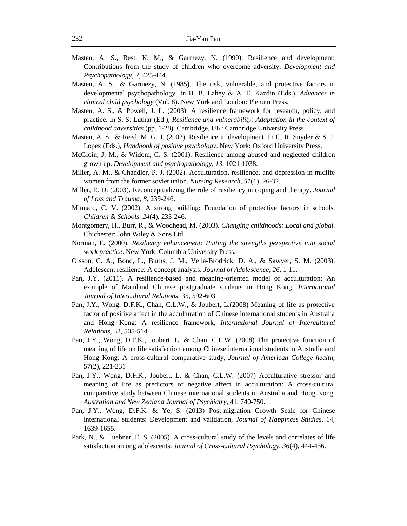- Masten, A. S., Best, K. M., & Garmezy, N. (1990). Resilience and development: Contributions from the study of children who overcome adversity. *Development and Psychopathology, 2*, 425-444.
- Masten, A. S., & Garmezy, N. (1985). The risk, vulnerable, and protective factors in developmental psychopathology. In B. B. Lahey & A. E. Kazdin (Eds.), *Advances in clinical child psychology* (Vol. 8). New York and London: Plenum Press.
- Masten, A. S., & Powell, J. L. (2003). A resilience framework for research, policy, and practice. In S. S. Luthar (Ed.), *Resilience and vulnerability: Adaptation in the context of childhood adversities* (pp. 1-28). Cambridge, UK: Cambridge University Press.
- Masten, A. S., & Reed, M. G. J. (2002). Resilience in development. In C. R. Snyder & S. J. Lopez (Eds.), *Handbook of positive psychology*. New York: Oxford University Press.
- McGloin, J. M., & Widom, C. S. (2001). Resilience among abused and neglected children grown up. *Development and psychopathology, 13*, 1021-1038.
- Miller, A. M., & Chandler, P. J. (2002). Acculturation, resilience, and depression in midlife women from the former soviet union. *Nursing Research, 51*(1), 26-32.
- Miller, E. D. (2003). Reconceptualizing the role of resiliency in coping and therapy. *Journal of Loss and Trauma, 8*, 239-246.
- Minnard, C. V. (2002). A strong building: Foundation of protective factors in schools. *Children & Schools, 24*(4), 233-246.
- Montgomery, H., Burr, R., & Woodhead, M. (2003). *Changing childhoods: Local and global*. Chichester: John Wiley & Sons Ltd.
- Norman, E. (2000). *Resiliency enhancement: Putting the strengths perspective into social work practice*. New York: Columbia University Press.
- Olsson, C. A., Bond, L., Burns, J. M., Vella-Brodrick, D. A., & Sawyer, S. M. (2003). Adolescent resilience: A concept analysis. *Journal of Adolescence, 26*, 1-11.
- Pan, J.Y. (2011). A resilience-based and meaning-oriented model of acculturation: An example of Mainland Chinese postgraduate students in Hong Kong. *International Journal of Intercultural Relations,* 35, 592-603
- Pan, J.Y., Wong, D.F.K., Chan, C.L.W., & Joubert, L.(2008) Meaning of life as protective factor of positive affect in the acculturation of Chinese international students in Australia and Hong Kong: A resilience framework, *International Journal of Intercultural Relations*, 32, 505-514.
- Pan, J.Y., Wong, D.F.K., Joubert, L. & Chan, C.L.W. (2008) The protective function of meaning of life on life satisfaction among Chinese international students in Australia and Hong Kong: A cross-cultural comparative study, *Journal of American College health*, 57(2), 221-231
- Pan, J.Y., Wong, D.F.K., Joubert, L. & Chan, C.L.W. (2007) Acculturative stressor and meaning of life as predictors of negative affect in acculturation: A cross-cultural comparative study between Chinese international students in Australia and Hong Kong. *Australian and New Zealand Journal of Psychiatry*, 41, 740-750.
- Pan, J.Y., Wong, D.F.K. & Ye, S. (2013) Post-migration Growth Scale for Chinese international students: Development and validation, *Journal of Happiness Studies,* 14, 1639-1655.
- Park, N., & Huebner, E. S. (2005). A cross-cultural study of the levels and correlates of life satisfaction among adolescents. *Journal of Cross-cultural Psychology, 36*(4), 444-456.